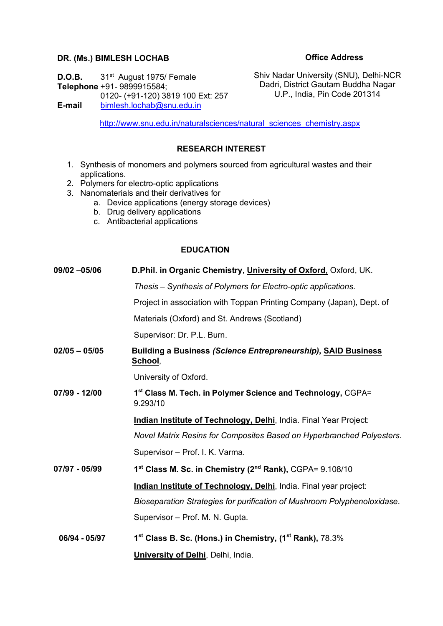#### **DR. (Ms.) BIMLESH LOCHAB**

#### **Office Address**

**D.O.B.** 31<sup>st</sup> August 1975/ Female **Telephone** +91- 9899915584; 0120- (+91-120) 3819 100 Ext: 257 **E-mail** [bimlesh.lochab@snu.edu.in](mailto:bimlesh.lochab@snu.edu.in)

Shiv Nadar University (SNU), Delhi-NCR Dadri, District Gautam Buddha Nagar U.P., India, Pin Code 201314

[http://www.snu.edu.in/naturalsciences/natural\\_sciences\\_chemistry.aspx](http://www.snu.edu.in/naturalsciences/natural_sciences_chemistry.aspx)

# **RESEARCH INTEREST**

- 1. Synthesis of monomers and polymers sourced from agricultural wastes and their applications.
- 2. Polymers for electro-optic applications
- 3. Nanomaterials and their derivatives for
	- a. Device applications (energy storage devices)
		- b. Drug delivery applications
		- c. Antibacterial applications

# **EDUCATION**

| 09/02 -05/06    | D. Phil. in Organic Chemistry, University of Oxford, Oxford, UK.                 |
|-----------------|----------------------------------------------------------------------------------|
|                 | Thesis – Synthesis of Polymers for Electro-optic applications.                   |
|                 | Project in association with Toppan Printing Company (Japan), Dept. of            |
|                 | Materials (Oxford) and St. Andrews (Scotland)                                    |
|                 | Supervisor: Dr. P.L. Burn.                                                       |
| $02/05 - 05/05$ | Building a Business (Science Entrepreneurship), SAID Business<br><u>School,</u>  |
|                 | University of Oxford.                                                            |
| 07/99 - 12/00   | 1st Class M. Tech. in Polymer Science and Technology, CGPA=<br>9.293/10          |
|                 | Indian Institute of Technology, Delhi, India. Final Year Project:                |
|                 | Novel Matrix Resins for Composites Based on Hyperbranched Polyesters.            |
|                 | Supervisor - Prof. I. K. Varma.                                                  |
| 07/97 - 05/99   | 1 <sup>st</sup> Class M. Sc. in Chemistry (2 <sup>nd</sup> Rank), CGPA= 9.108/10 |
|                 | Indian Institute of Technology, Delhi, India. Final year project:                |
|                 | Bioseparation Strategies for purification of Mushroom Polyphenoloxidase.         |
|                 | Supervisor - Prof. M. N. Gupta.                                                  |
| 06/94 - 05/97   | 1 <sup>st</sup> Class B. Sc. (Hons.) in Chemistry, (1 <sup>st</sup> Rank), 78.3% |
|                 | <b>University of Delhi</b> , Delhi, India.                                       |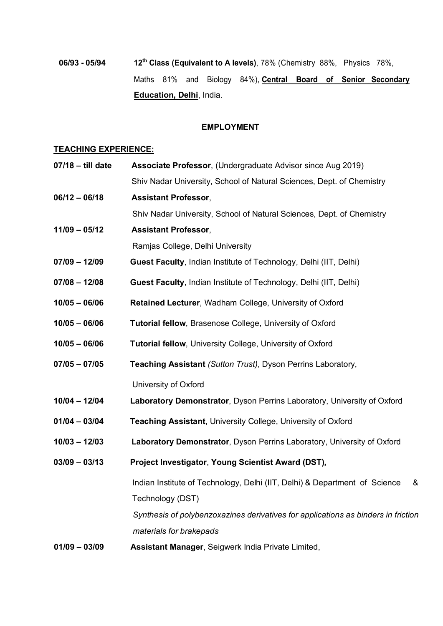# **06/93 - 05/94 12th Class (Equivalent to A levels)**, 78% (Chemistry 88%, Physics 78%, Maths 81% and Biology 84%), **Central Board of Senior Secondary Education, Delhi**, India.

# **EMPLOYMENT**

#### **TEACHING EXPERIENCE:**

| $07/18 -$ till date | Associate Professor, (Undergraduate Advisor since Aug 2019)                       |
|---------------------|-----------------------------------------------------------------------------------|
|                     | Shiv Nadar University, School of Natural Sciences, Dept. of Chemistry             |
| $06/12 - 06/18$     | <b>Assistant Professor,</b>                                                       |
|                     | Shiv Nadar University, School of Natural Sciences, Dept. of Chemistry             |
| $11/09 - 05/12$     | <b>Assistant Professor,</b>                                                       |
|                     | Ramjas College, Delhi University                                                  |
| $07/09 - 12/09$     | Guest Faculty, Indian Institute of Technology, Delhi (IIT, Delhi)                 |
| $07/08 - 12/08$     | Guest Faculty, Indian Institute of Technology, Delhi (IIT, Delhi)                 |
| $10/05 - 06/06$     | Retained Lecturer, Wadham College, University of Oxford                           |
| $10/05 - 06/06$     | <b>Tutorial fellow, Brasenose College, University of Oxford</b>                   |
| $10/05 - 06/06$     | <b>Tutorial fellow, University College, University of Oxford</b>                  |
| $07/05 - 07/05$     | Teaching Assistant (Sutton Trust), Dyson Perrins Laboratory,                      |
|                     | University of Oxford                                                              |
| $10/04 - 12/04$     | Laboratory Demonstrator, Dyson Perrins Laboratory, University of Oxford           |
| $01/04 - 03/04$     | <b>Teaching Assistant, University College, University of Oxford</b>               |
| $10/03 - 12/03$     | Laboratory Demonstrator, Dyson Perrins Laboratory, University of Oxford           |
| $03/09 - 03/13$     | Project Investigator, Young Scientist Award (DST),                                |
|                     | Indian Institute of Technology, Delhi (IIT, Delhi) & Department of Science<br>8   |
|                     | Technology (DST)                                                                  |
|                     | Synthesis of polybenzoxazines derivatives for applications as binders in friction |
|                     | materials for brakepads                                                           |
| $01/09 - 03/09$     | Assistant Manager, Seigwerk India Private Limited,                                |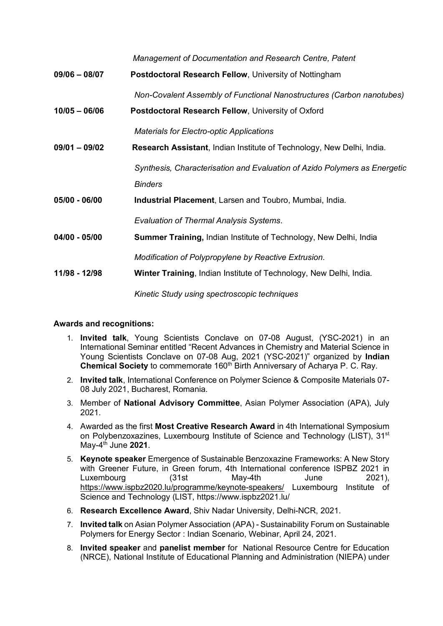*Management of Documentation and Research Centre, Patent* 

**09/06 – 08/07 Postdoctoral Research Fellow**, University of Nottingham

*Non-Covalent Assembly of Functional Nanostructures (Carbon nanotubes)*

**10/05 – 06/06 Postdoctoral Research Fellow**, University of Oxford

*Materials for Electro-optic Applications*

**09/01 – 09/02 Research Assistant**, Indian Institute of Technology, New Delhi, India.

*Synthesis, Characterisation and Evaluation of Azido Polymers as Energetic Binders*

**05/00 - 06/00 Industrial Placement**, Larsen and Toubro, Mumbai, India.

*Evaluation of Thermal Analysis Systems*.

**04/00 - 05/00 Summer Training,** Indian Institute of Technology, New Delhi, India

*Modification of Polypropylene by Reactive Extrusion.*

**11/98 - 12/98 Winter Training**, Indian Institute of Technology, New Delhi, India.

*Kinetic Study using spectroscopic techniques* 

# **Awards and recognitions:**

- 1. **Invited talk**, Young Scientists Conclave on 07-08 August, (YSC-2021) in an International Seminar entitled "Recent Advances in Chemistry and Material Science in Young Scientists Conclave on 07-08 Aug, 2021 (YSC-2021)" organized by **Indian Chemical Society** to commemorate 160<sup>th</sup> Birth Anniversary of Acharya P. C. Ray.
- 2. **Invited talk**, International Conference on Polymer Science & Composite Materials 07- 08 July 2021, Bucharest, Romania.
- 3. Member of **National Advisory Committee**, Asian Polymer Association (APA), July 2021.
- 4. Awarded as the first **Most Creative Research Award** in 4th International Symposium on Polybenzoxazines, Luxembourg Institute of Science and Technology (LIST), 31<sup>st</sup> May-4th June **2021**.
- 5. **Keynote speaker** Emergence of Sustainable Benzoxazine Frameworks: A New Story with Greener Future, in Green forum, 4th International conference ISPBZ 2021 in Luxembourg (31st May-4th June 2021), <https://www.ispbz2020.lu/programme/keynote-speakers/> Luxembourg Institute of Science and Technology (LIST, https://www.ispbz2021.lu/
- 6. **Research Excellence Award**, Shiv Nadar University, Delhi-NCR, 2021.
- 7. **Invited talk** on Asian Polymer Association (APA) Sustainability Forum on Sustainable Polymers for Energy Sector : Indian Scenario, Webinar, April 24, 2021.
- 8. **Invited speaker** and **panelist member** for National Resource Centre for Education (NRCE), National Institute of Educational Planning and Administration (NIEPA) under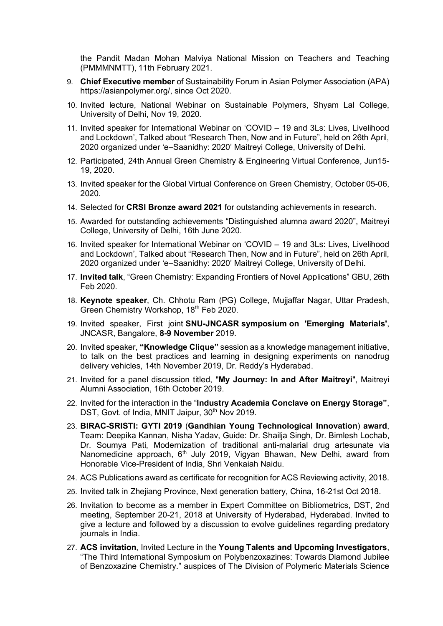the Pandit Madan Mohan Malviya National Mission on Teachers and Teaching (PMMMNMTT), 11th February 2021.

- 9. **Chief Executive member** of Sustainability Forum in Asian Polymer Association (APA) https://asianpolymer.org/, since Oct 2020.
- 10. Invited lecture, National Webinar on Sustainable Polymers, Shyam Lal College, University of Delhi, Nov 19, 2020.
- 11. Invited speaker for International Webinar on 'COVID 19 and 3Ls: Lives, Livelihood and Lockdown', Talked about "Research Then, Now and in Future", held on 26th April, 2020 organized under 'e–Saanidhy: 2020' Maitreyi College, University of Delhi.
- 12. Participated, 24th Annual Green Chemistry & Engineering Virtual Conference, Jun15- 19, 2020.
- 13. Invited speaker for the Global Virtual Conference on Green Chemistry, October 05-06, 2020.
- 14. Selected for **CRSI Bronze award 2021** for outstanding achievements in research.
- 15. Awarded for outstanding achievements "Distinguished alumna award 2020", Maitreyi College, University of Delhi, 16th June 2020.
- 16. Invited speaker for International Webinar on 'COVID 19 and 3Ls: Lives, Livelihood and Lockdown', Talked about "Research Then, Now and in Future", held on 26th April, 2020 organized under 'e–Saanidhy: 2020' Maitreyi College, University of Delhi.
- 17. **Invited talk**, "Green Chemistry: Expanding Frontiers of Novel Applications" GBU, 26th Feb 2020.
- 18. **Keynote speaker**, Ch. Chhotu Ram (PG) College, Mujjaffar Nagar, Uttar Pradesh, Green Chemistry Workshop, 18th Feb 2020.
- 19. Invited speaker, First joint **SNU-JNCASR symposium on 'Emerging Materials'**, JNCASR, Bangalore, **8-9 November** 2019.
- 20. Invited speaker, **"Knowledge Clique"** session as a knowledge management initiative, to talk on the best practices and learning in designing experiments on nanodrug delivery vehicles, 14th November 2019, Dr. Reddy's Hyderabad.
- 21. Invited for a panel discussion titled, "**My Journey: In and After Maitreyi**", Maitreyi Alumni Association, 16th October 2019.
- 22. Invited for the interaction in the "**Industry Academia Conclave on Energy Storage"**, DST, Govt. of India, MNIT Jaipur, 30<sup>th</sup> Nov 2019.
- 23. **BIRAC-SRISTI: GYTI 2019** (**Gandhian Young Technological Innovation**) **award**, Team: Deepika Kannan, Nisha Yadav, Guide: Dr. Shailja Singh, Dr. Bimlesh Lochab, Dr. Soumya Pati, Modernization of traditional anti-malarial drug artesunate via Nanomedicine approach, 6<sup>th</sup> July 2019, Vigyan Bhawan, New Delhi, award from Honorable Vice-President of India, Shri Venkaiah Naidu.
- 24. ACS Publications award as certificate for recognition for ACS Reviewing activity, 2018.
- 25. Invited talk in Zhejiang Province, Next generation battery, China, 16-21st Oct 2018.
- 26. Invitation to become as a member in Expert Committee on Bibliometrics, DST, 2nd meeting, September 20-21, 2018 at University of Hyderabad, Hyderabad. Invited to give a lecture and followed by a discussion to evolve guidelines regarding predatory journals in India.
- 27. **ACS invitation**, Invited Lecture in the **Young Talents and Upcoming Investigators**, "The Third International Symposium on Polybenzoxazines: Towards Diamond Jubilee of Benzoxazine Chemistry." auspices of The Division of Polymeric Materials Science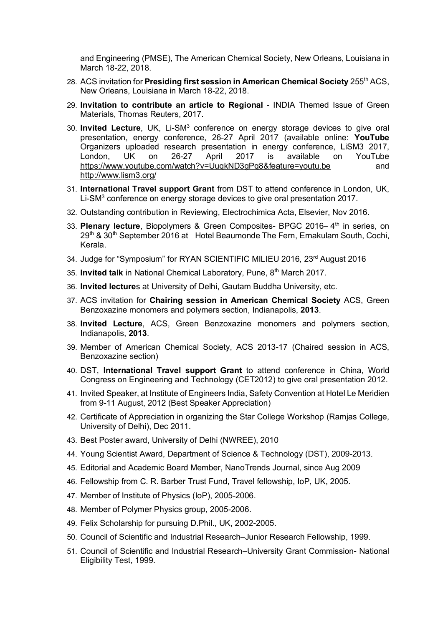and Engineering (PMSE), The American Chemical Society, New Orleans, Louisiana in March 18-22, 2018.

- 28. ACS invitation for **Presiding first session in American Chemical Society** 255th ACS, New Orleans, Louisiana in March 18-22, 2018.
- 29. **Invitation to contribute an article to Regional** INDIA Themed Issue of Green Materials, Thomas Reuters, 2017.
- 30. **Invited Lecture**, UK, Li-SM3 conference on energy storage devices to give oral presentation, energy conference, 26-27 April 2017 (available online: **YouTube** Organizers uploaded research presentation in energy conference, LiSM3 2017, London, UK on 26-27 April 2017 is available on YouTube <https://www.youtube.com/watch?v=UuqkND3gPq8&feature=youtu.be> and <http://www.lism3.org/>
- 31. **International Travel support Grant** from DST to attend conference in London, UK, Li-SM<sup>3</sup> conference on energy storage devices to give oral presentation 2017.
- 32. Outstanding contribution in Reviewing, Electrochimica Acta, Elsevier, Nov 2016.
- 33. **Plenary lecture**, Biopolymers & Green Composites- BPGC 2016– 4th in series, on 29<sup>th</sup> & 30<sup>th</sup> September 2016 at Hotel Beaumonde The Fern, Ernakulam South, Cochi, Kerala.
- 34. Judge for "Symposium" for RYAN SCIENTIFIC MILIEU 2016, 23<sup>rd</sup> August 2016
- 35. **Invited talk** in National Chemical Laboratory, Pune, 8th March 2017.
- 36. **Invited lecture**s at University of Delhi, Gautam Buddha University, etc.
- 37. ACS invitation for **Chairing session in American Chemical Society** ACS, Green Benzoxazine monomers and polymers section, Indianapolis, **2013**.
- 38. **Invited Lecture**, ACS, Green Benzoxazine monomers and polymers section, Indianapolis, **2013**.
- 39. Member of American Chemical Society, ACS 2013-17 (Chaired session in ACS, Benzoxazine section)
- 40. DST, **International Travel support Grant** to attend conference in China, World Congress on Engineering and Technology (CET2012) to give oral presentation 2012.
- 41. Invited Speaker, at Institute of Engineers India, Safety Convention at Hotel Le Meridien from 9-11 August, 2012 (Best Speaker Appreciation)
- 42. Certificate of Appreciation in organizing the Star College Workshop (Ramjas College, University of Delhi), Dec 2011.
- 43. Best Poster award, University of Delhi (NWREE), 2010
- 44. Young Scientist Award, Department of Science & Technology (DST), 2009-2013.
- 45. Editorial and Academic Board Member, NanoTrends Journal, since Aug 2009
- 46. Fellowship from C. R. Barber Trust Fund, Travel fellowship, IoP, UK, 2005.
- 47. Member of Institute of Physics (IoP), 2005-2006.
- 48. Member of Polymer Physics group, 2005-2006.
- 49. Felix Scholarship for pursuing D.Phil., UK, 2002-2005.
- 50. Council of Scientific and Industrial Research–Junior Research Fellowship, 1999.
- 51. Council of Scientific and Industrial Research–University Grant Commission- National Eligibility Test, 1999.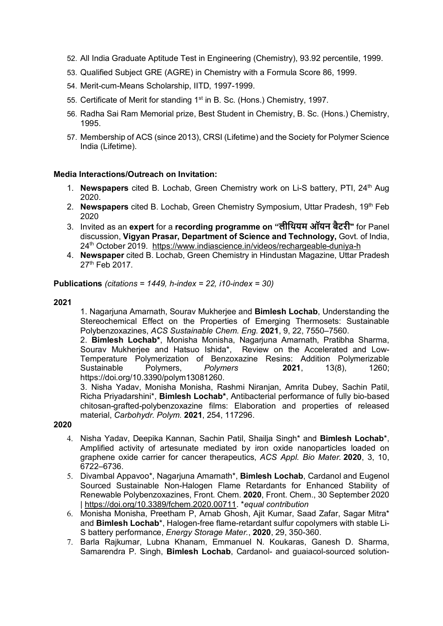- 52. All India Graduate Aptitude Test in Engineering (Chemistry), 93.92 percentile, 1999.
- 53. Qualified Subject GRE (AGRE) in Chemistry with a Formula Score 86, 1999.
- 54. Merit-cum-Means Scholarship, IITD, 1997-1999.
- 55. Certificate of Merit for standing 1<sup>st</sup> in B. Sc. (Hons.) Chemistry, 1997.
- 56. Radha Sai Ram Memorial prize, Best Student in Chemistry, B. Sc. (Hons.) Chemistry, 1995.
- 57. Membership of ACS (since 2013), CRSI (Lifetime) and the Society for Polymer Science India (Lifetime).

#### **Media Interactions/Outreach on Invitation:**

- 1. **Newspapers** cited B. Lochab, Green Chemistry work on Li-S battery, PTI, 24<sup>th</sup> Aug 2020.
- 2. **Newspapers** cited B. Lochab, Green Chemistry Symposium, Uttar Pradesh, 19<sup>th</sup> Feb 2020
- 3. Invited as an **expert** for a **recording programme on "लीिथयम ऑयन बैटरी"** for Panel discussion, **Vigyan Prasar, Department of Science and Technology,** Govt. of India, 24th October 2019. <https://www.indiascience.in/videos/rechargeable-duniya-h>
- 4. **Newspaper** cited B. Lochab, Green Chemistry in Hindustan Magazine, Uttar Pradesh 27<sup>th</sup> Feb 2017.

**Publications** *(citations = 1449, h-index = 22, i10-index = 30)*

**2021**

1. Nagarjuna Amarnath, Sourav Mukherjee and **Bimlesh Lochab**, Understanding the Stereochemical Effect on the Properties of Emerging Thermosets: Sustainable Polybenzoxazines, *ACS Sustainable Chem. Eng.* **2021**, 9, 22, 7550–7560.

2. **Bimlesh Lochab\***, Monisha Monisha, Nagarjuna Amarnath, Pratibha Sharma, Sourav Mukherjee and Hatsuo Ishida\*, Review on the Accelerated and Low-Temperature Polymerization of Benzoxazine Resins: Addition Polymerizable<br>Sustainable Polymers. Polymers **2021**. 13(8). 1260: Sustainable Polymers, *Polymers* **2021**, 13(8), 1260; https://doi.org/10.3390/polym13081260.

3. Nisha Yadav, Monisha Monisha, Rashmi Niranjan, Amrita Dubey, Sachin Patil, Richa Priyadarshini\*, **Bimlesh Lochab\***, Antibacterial performance of fully bio-based chitosan-grafted-polybenzoxazine films: Elaboration and properties of released material, *Carbohydr. Polym.* **2021**, 254, 117296.

**2020**

- 4. Nisha Yadav, Deepika Kannan, Sachin Patil, Shailja Singh\* and **Bimlesh Lochab**\*, Amplified activity of artesunate mediated by iron oxide nanoparticles loaded on graphene oxide carrier for cancer therapeutics, *ACS Appl. Bio Mater.* **2020**, 3, 10, 6722–6736.
- 5. Divambal Appavoo\*, Nagarjuna Amarnath\*, **Bimlesh Lochab**, Cardanol and Eugenol Sourced Sustainable Non-Halogen Flame Retardants for Enhanced Stability of Renewable Polybenzoxazines, Front. Chem. **2020**, Front. Chem., 30 September 2020 | [https://doi.org/10.3389/fchem.2020.00711.](https://doi.org/10.3389/fchem.2020.00711) \**equal contribution*
- 6. Monisha Monisha, Preetham P, Arnab Ghosh, Ajit Kumar, Saad Zafar, Sagar Mitra\* and **Bimlesh Lochab**\*, Halogen-free flame-retardant sulfur copolymers with stable Li-S battery performance, *Energy Storage Mater.*, **2020**, 29, 350-360.
- 7. Barla Rajkumar, Lubna Khanam, Emmanuel N. Koukaras, Ganesh D. Sharma, Samarendra P. Singh, **Bimlesh Lochab**, Cardanol- and guaiacol-sourced solution-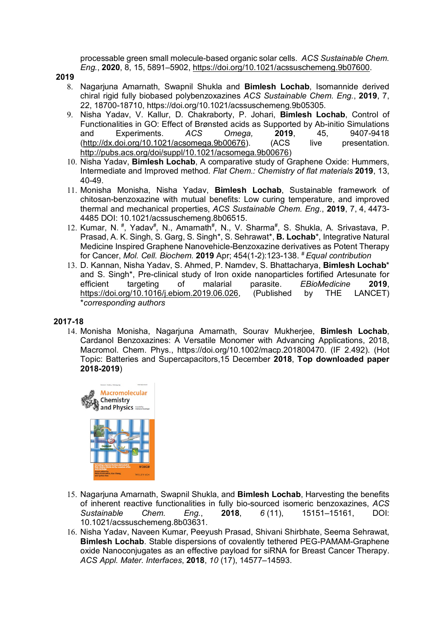processable green small molecule-based organic solar cells. *ACS Sustainable Chem. Eng.*, **2020**, 8, 15, 5891–5902, [https://doi.org/10.1021/acssuschemeng.9b07600.](https://doi.org/10.1021/acssuschemeng.9b07600)

**2019** 

- 8. Nagarjuna Amarnath, Swapnil Shukla and **Bimlesh Lochab**, Isomannide derived chiral rigid fully biobased polybenzoxazines *ACS Sustainable Chem. Eng.*, **2019**, 7, 22, 18700-18710, https://doi.org/10.1021/acssuschemeng.9b05305.
- 9. Nisha Yadav, V. Kallur, D. Chakraborty, P. Johari, **Bimlesh Lochab**, Control of Functionalities in GO: Effect of Brønsted acids as Supported by Ab-initio Simulations and Experiments. *ACS Omega,* **2019**, 45, 9407-9418 [\(http://dx.doi.org/10.1021/acsomega.9b00676\)](http://dx.doi.org/10.1021/acsomega.9b00676). (ACS live presentation. [http://pubs.acs.org/doi/suppl/10.1021/acsomega.9b00676\)](http://pubs.acs.org/doi/suppl/10.1021/acsomega.9b00676)
- 10. Nisha Yadav, **Bimlesh Lochab**, A comparative study of Graphene Oxide: Hummers, Intermediate and Improved method. *Flat Chem.: Chemistry of flat materials* **2019**, 13, 40-49.
- 11. Monisha Monisha, Nisha Yadav, **Bimlesh Lochab**, Sustainable framework of chitosan-benzoxazine with mutual benefits: Low curing temperature, and improved thermal and mechanical properties, *ACS Sustainable Chem. Eng.*, **2019**, 7, 4, 4473- 4485 DOI: 10.1021/acssuschemeng.8b06515.
- 12. Kumar, N.<sup>#</sup>, Yadav<sup>#</sup>, N., Amarnath<sup>#</sup>, N., V. Sharma<sup>#</sup>, S. Shukla, A. Srivastava, P. Prasad, A. K. Singh, S. Garg, S. Singh\*, S. Sehrawat\*, **B. Lochab**\*, Integrative Natural Medicine Inspired Graphene Nanovehicle-Benzoxazine derivatives as Potent Therapy for Cancer, *Mol. Cell. Biochem.* **2019** Apr; 454(1-2):123-138. # *Equal contribution*
- 13. D. Kannan, Nisha Yadav, S. Ahmed, P. Namdev, S. Bhattacharya, **Bimlesh Lochab**\* and S. Singh\*, Pre-clinical study of Iron oxide nanoparticles fortified Artesunate for efficient targeting of malarial parasite. EBioMedicine 2019. efficient targeting of malarial parasite. *EBioMedicine* **2019**, [https://doi.org/10.1016/j.ebiom.2019.06.026,](https://doi.org/10.1016/j.ebiom.2019.06.026) (Published by THE \**corresponding authors*

#### **2017-18**

14. Monisha Monisha, Nagarjuna Amarnath, Sourav Mukherjee, **Bimlesh Lochab**, Cardanol Benzoxazines: A Versatile Monomer with Advancing Applications, 2018, Macromol. Chem. Phys., https://doi.org/10.1002/macp.201800470. (IF 2.492). (Hot Topic: Batteries and Supercapacitors,15 December **2018**, **Top downloaded paper 2018-2019**)



- 15. Nagarjuna Amarnath, Swapnil Shukla, and **Bimlesh Lochab**, Harvesting the benefits of inherent reactive functionalities in fully bio-sourced isomeric benzoxazines, *ACS Sustainable Chem. Eng.*, **2018**, *6* (11), 15151–15161, DOI: 10.1021/acssuschemeng.8b03631.
- 16. Nisha Yadav, Naveen Kumar, Peeyush Prasad, Shivani Shirbhate, Seema Sehrawat, **Bimlesh Lochab**. Stable dispersions of covalently tethered PEG-PAMAM-Graphene oxide Nanoconjugates as an effective payload for siRNA for Breast Cancer Therapy. *ACS Appl. Mater. Interfaces*, **2018**, *10* (17), 14577–14593.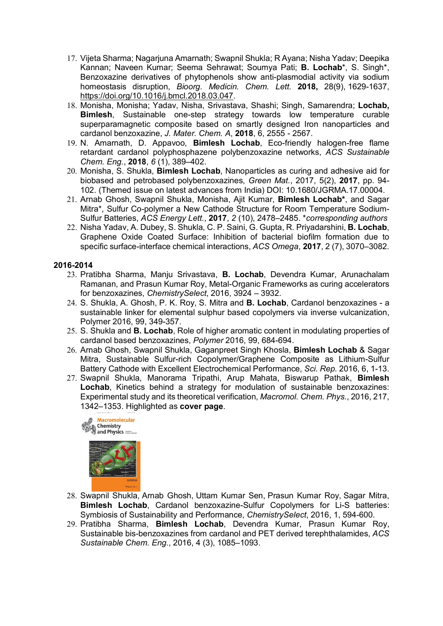- 17. Vijeta Sharma; Nagarjuna Amarnath; Swapnil Shukla; R Ayana; Nisha Yadav; Deepika Kannan; Naveen Kumar; Seema Sehrawat; Soumya Pati; **B. Lochab**\*, S. Singh\*, Benzoxazine derivatives of phytophenols show anti-plasmodial activity via sodium homeostasis disruption, *Bioorg. Medicin. Chem. Lett.* **2018,** 28(9), 1629-1637, [https://doi.org/10.1016/j.bmcl.2018.03.047.](https://doi.org/10.1016/j.bmcl.2018.03.047)
- 18. Monisha, Monisha; Yadav, Nisha, Srivastava, Shashi; Singh, Samarendra; **Lochab, Bimlesh**, Sustainable one-step strategy towards low temperature curable superparamagnetic composite based on smartly designed Iron nanoparticles and cardanol benzoxazine, *J. Mater. Chem. A*, **2018**, 6, 2555 - 2567.
- 19. N. Amarnath, D. Appavoo, **Bimlesh Lochab**, Eco-friendly halogen-free flame retardant cardanol polyphosphazene polybenzoxazine networks, *ACS Sustainable Chem. Eng.*, **2018**, *6* (1), 389–402.
- 20. Monisha, S. Shukla, **Bimlesh Lochab**, Nanoparticles as curing and adhesive aid for biobased and petrobased polybenzoxazines, *Green Mat.*, 2017, 5(2), **2017**, pp. 94- 102. (Themed issue on latest advances from India) DOI: 10.1680/JGRMA.17.00004.
- 21. Arnab Ghosh, Swapnil Shukla, Monisha, Ajit Kumar, **Bimlesh Lochab\***, and Sagar Mitra\*, Sulfur Co-polymer a New Cathode Structure for Room Temperature Sodium-Sulfur Batteries, *ACS Energy Lett.*, **2017**, *2* (10), 2478–2485. \**corresponding authors*
- 22. Nisha Yadav, A. Dubey, S. Shukla, C. P. Saini, G. Gupta, R. Priyadarshini, **B. Lochab**, Graphene Oxide Coated Surface: Inhibition of bacterial biofilm formation due to specific surface-interface chemical interactions, *ACS Omega*, **2017**, 2 (7), 3070–3082.

# **2016-2014**

- 23. Pratibha Sharma, Manju Srivastava, **B. Lochab**, Devendra Kumar, Arunachalam Ramanan, and Prasun Kumar Roy, Metal-Organic Frameworks as curing accelerators for benzoxazines, *ChemistrySelect*, 2016, 3924 – 3932.
- 24. S. Shukla, A. Ghosh, P. K. Roy, S. Mitra and **B. Lochab**, Cardanol benzoxazines a sustainable linker for elemental sulphur based copolymers via inverse vulcanization, Polymer 2016, 99, 349-357.
- 25. S. Shukla and **B. Lochab**, Role of higher aromatic content in modulating properties of cardanol based benzoxazines, *Polymer* 2016, 99, 684-694.
- 26. Arnab Ghosh, Swapnil Shukla, Gaganpreet Singh Khosla, **Bimlesh Lochab** & Sagar Mitra, Sustainable Sulfur-rich Copolymer/Graphene Composite as Lithium-Sulfur Battery Cathode with Excellent Electrochemical Performance, *Sci. Rep.* 2016, 6, 1-13.
- 27. Swapnil Shukla, Manorama Tripathi, Arup Mahata, Biswarup Pathak, **Bimlesh Lochab**, Kinetics behind a strategy for modulation of sustainable benzoxazines: Experimental study and its theoretical verification, *Macromol. Chem. Phys.*, 2016, 217, 1342–1353. Highlighted as **cover page**.



- 28. Swapnil Shukla, Arnab Ghosh, Uttam Kumar Sen, Prasun Kumar Roy, Sagar Mitra, **Bimlesh Lochab**, Cardanol benzoxazine-Sulfur Copolymers for Li-S batteries: Symbiosis of Sustainability and Performance, *ChemistrySelect*, 2016, 1, 594-600.
- 29. Pratibha Sharma, **Bimlesh Lochab**, Devendra Kumar, Prasun Kumar Roy, Sustainable bis-benzoxazines from cardanol and PET derived terephthalamides, *ACS Sustainable Chem. Eng.*, 2016, 4 (3), 1085–1093.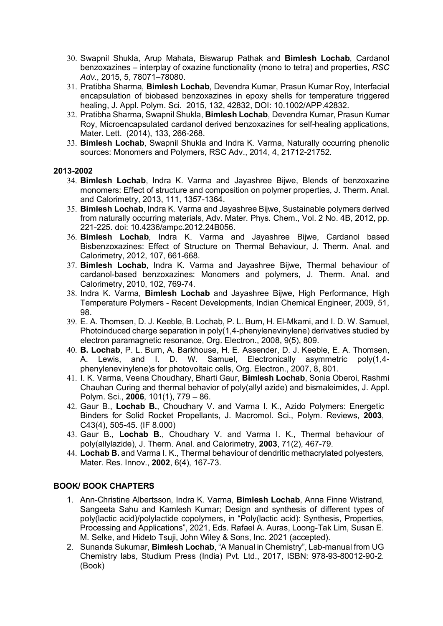- 30. Swapnil Shukla, Arup Mahata, Biswarup Pathak and **Bimlesh Lochab**, Cardanol benzoxazines – interplay of oxazine functionality (mono to tetra) and properties, *RSC Adv.*, 2015, 5, 78071–78080.
- 31. Pratibha Sharma, **Bimlesh Lochab**, Devendra Kumar, Prasun Kumar Roy, Interfacial encapsulation of biobased benzoxazines in epoxy shells for temperature triggered healing, J. Appl. Polym. Sci. 2015, 132, 42832, DOI: 10.1002/APP.42832.
- 32. Pratibha Sharma, Swapnil Shukla, **Bimlesh Lochab**, Devendra Kumar, Prasun Kumar Roy, Microencapsulated cardanol derived benzoxazines for self-healing applications, Mater. Lett. (2014), 133, 266-268.
- 33. **Bimlesh Lochab**, Swapnil Shukla and Indra K. Varma, Naturally occurring phenolic sources: Monomers and Polymers, RSC Adv., 2014, 4, 21712-21752.

#### **2013-2002**

- 34. **Bimlesh Lochab**, Indra K. Varma and Jayashree Bijwe, Blends of benzoxazine monomers: Effect of structure and composition on polymer properties, J. Therm. Anal. and Calorimetry, 2013, 111, 1357-1364.
- 35. **Bimlesh Lochab**, Indra K. Varma and Jayashree Bijwe, Sustainable polymers derived from naturally occurring materials, Adv. Mater. Phys. Chem., Vol. 2 No. 4B, 2012, pp. 221-225. doi: 10.4236/ampc.2012.24B056.
- 36. **Bimlesh Lochab**, Indra K. Varma and Jayashree Bijwe, Cardanol based Bisbenzoxazines: Effect of Structure on Thermal Behaviour, J. Therm. Anal. and Calorimetry, 2012, 107, 661-668.
- 37. **Bimlesh Lochab**, Indra K. Varma and Jayashree Bijwe, Thermal behaviour of cardanol-based benzoxazines: Monomers and polymers, J. Therm. Anal. and Calorimetry, 2010, 102, 769-74.
- 38. Indra K. Varma, **Bimlesh Lochab** and Jayashree Bijwe, High Performance, High Temperature Polymers - Recent Developments, Indian Chemical Engineer, 2009, 51, 98.
- 39. E. A. Thomsen, D. J. Keeble, B. Lochab, P. L. Burn, H. El-Mkami, and I. D. W. Samuel, Photoinduced charge separation in poly(1,4-phenylenevinylene) derivatives studied by electron paramagnetic resonance, Org. Electron., 2008, 9(5), 809.
- 40. **B. Lochab**, P. L. Burn, A. Barkhouse, H. E. Assender, D. J. Keeble, E. A. Thomsen, A. Lewis, and I. D. W. Samuel, Electronically asymmetric poly(1,4 phenylenevinylene)s for photovoltaic cells, Org. Electron., 2007, 8, 801.
- 41. I. K. Varma, Veena Choudhary, Bharti Gaur, **Bimlesh Lochab**, Sonia Oberoi, Rashmi Chauhan Curing and thermal behavior of poly(allyl azide) and bismaleimides, J. Appl. Polym. Sci., **2006**, 101(1), 779 – 86.
- 42. Gaur B., **Lochab B.**, Choudhary V. and Varma I. K., Azido Polymers: Energetic Binders for Solid Rocket Propellants, J. Macromol. Sci., Polym. Reviews, **2003**, C43(4), 505-45. (IF 8.000)
- 43. Gaur B., **Lochab B.**, Choudhary V. and Varma I. K., Thermal behaviour of poly(allylazide), J. Therm. Anal. and Calorimetry, **2003**, 71(2), 467-79.
- 44. **Lochab B.** and Varma I. K., Thermal behaviour of dendritic methacrylated polyesters, Mater. Res. Innov., **2002**, 6(4), 167-73.

# **BOOK/ BOOK CHAPTERS**

- 1. Ann-Christine Albertsson, Indra K. Varma, **Bimlesh Lochab**, Anna Finne Wistrand, Sangeeta Sahu and Kamlesh Kumar; Design and synthesis of different types of poly(lactic acid)/polylactide copolymers, in "Poly(lactic acid): Synthesis, Properties, Processing and Applications", 2021, Eds. Rafael A. Auras, Loong-Tak Lim, Susan E. M. Selke, and Hideto Tsuji, John Wiley & Sons, Inc. 2021 (accepted).
- 2. Sunanda Sukumar, **Bimlesh Lochab**, "A Manual in Chemistry", Lab-manual from UG Chemistry labs, Studium Press (India) Pvt. Ltd., 2017, ISBN: 978-93-80012-90-2. (Book)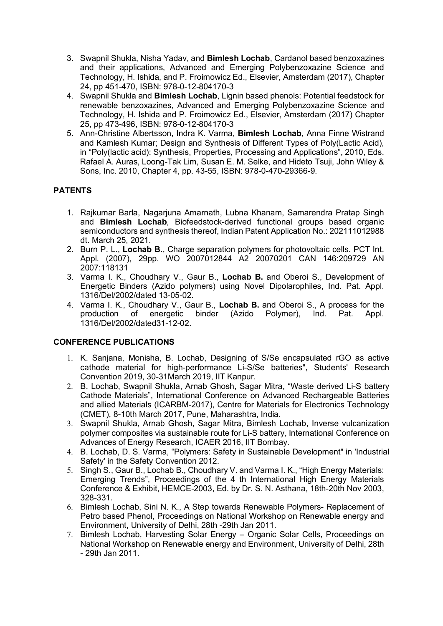- 3. Swapnil Shukla, Nisha Yadav, and **Bimlesh Lochab**, Cardanol based benzoxazines and their applications, Advanced and Emerging Polybenzoxazine Science and Technology, H. Ishida, and P. Froimowicz Ed., Elsevier, Amsterdam (2017), Chapter 24, pp 451-470, ISBN: 978-0-12-804170-3
- 4. Swapnil Shukla and **Bimlesh Lochab**, Lignin based phenols: Potential feedstock for renewable benzoxazines, Advanced and Emerging Polybenzoxazine Science and Technology, H. Ishida and P. Froimowicz Ed., Elsevier, Amsterdam (2017) Chapter 25, pp 473-496, ISBN: 978-0-12-804170-3
- 5. Ann-Christine Albertsson, Indra K. Varma, **Bimlesh Lochab**, Anna Finne Wistrand and Kamlesh Kumar; Design and Synthesis of Different Types of Poly(Lactic Acid), in "Poly(lactic acid): Synthesis, Properties, Processing and Applications", 2010, Eds. Rafael A. Auras, Loong-Tak Lim, Susan E. M. Selke, and Hideto Tsuji, John Wiley & Sons, Inc. 2010, Chapter 4, pp. 43-55, ISBN: 978-0-470-29366-9.

# **PATENTS**

- 1. Rajkumar Barla, Nagarjuna Amarnath, Lubna Khanam, Samarendra Pratap Singh and **Bimlesh Lochab**, Biofeedstock-derived functional groups based organic semiconductors and synthesis thereof, Indian Patent Application No.: 202111012988 dt. March 25, 2021.
- 2. Burn P. L., **Lochab B.**, Charge separation polymers for photovoltaic cells. PCT Int. Appl. (2007), 29pp. WO 2007012844 A2 20070201 CAN 146:209729 AN 2007:118131
- 3. Varma I. K., Choudhary V., Gaur B., **Lochab B.** and Oberoi S., Development of Energetic Binders (Azido polymers) using Novel Dipolarophiles, Ind. Pat. Appl. 1316/Del/2002/dated 13-05-02.
- 4. Varma I. K., Choudhary V., Gaur B., **Lochab B.** and Oberoi S., A process for the binder (Azido Polymer), Ind. Pat. Appl. 1316/Del/2002/dated31-12-02.

#### **CONFERENCE PUBLICATIONS**

- 1. K. Sanjana, Monisha, B. Lochab, Designing of S/Se encapsulated rGO as active cathode material for high-performance Li-S/Se batteries", Students' Research Convention 2019, 30-31March 2019, IIT Kanpur.
- 2. B. Lochab, Swapnil Shukla, Arnab Ghosh, Sagar Mitra, "Waste derived Li-S battery Cathode Materials", International Conference on Advanced Rechargeable Batteries and allied Materials (ICARBM-2017), Centre for Materials for Electronics Technology (CMET), 8-10th March 2017, Pune, Maharashtra, India.
- 3. Swapnil Shukla, Arnab Ghosh, Sagar Mitra, Bimlesh Lochab, Inverse vulcanization polymer composites via sustainable route for Li-S battery, International Conference on Advances of Energy Research, ICAER 2016, IIT Bombay.
- 4. B. Lochab, D. S. Varma, "Polymers: Safety in Sustainable Development" in 'Industrial Safety' in the Safety Convention 2012.
- 5. Singh S., Gaur B., Lochab B., Choudhary V. and Varma I. K., "High Energy Materials: Emerging Trends", Proceedings of the 4 th International High Energy Materials Conference & Exhibit, HEMCE-2003, Ed. by Dr. S. N. Asthana, 18th-20th Nov 2003, 328-331.
- 6. Bimlesh Lochab, Sini N. K., A Step towards Renewable Polymers- Replacement of Petro based Phenol, Proceedings on National Workshop on Renewable energy and Environment, University of Delhi, 28th -29th Jan 2011.
- 7. Bimlesh Lochab, Harvesting Solar Energy Organic Solar Cells, Proceedings on National Workshop on Renewable energy and Environment, University of Delhi, 28th - 29th Jan 2011.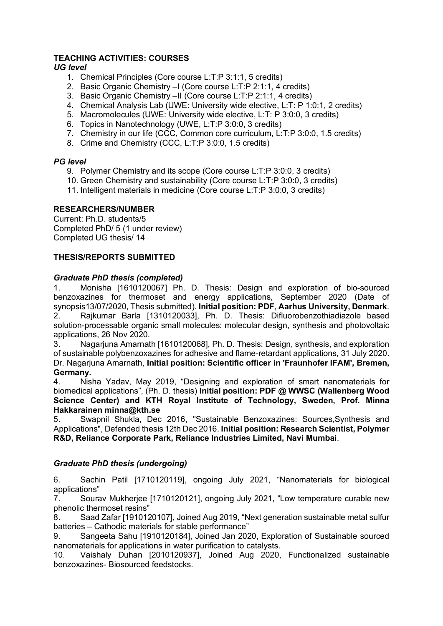# **TEACHING ACTIVITIES: COURSES**

# *UG level*

- 1. Chemical Principles (Core course L:T:P 3:1:1, 5 credits)
- 2. Basic Organic Chemistry –I (Core course L:T:P 2:1:1, 4 credits)
- 3. Basic Organic Chemistry –II (Core course L:T:P 2:1:1, 4 credits)
- 4. Chemical Analysis Lab (UWE: University wide elective, L:T: P 1:0:1, 2 credits)
- 5. Macromolecules (UWE: University wide elective, L:T: P 3:0:0, 3 credits)
- 6. Topics in Nanotechnology (UWE, L:T:P 3:0:0, 3 credits)
- 7. Chemistry in our life (CCC, Common core curriculum, L:T:P 3:0:0, 1.5 credits)
- 8. Crime and Chemistry (CCC, L:T:P 3:0:0, 1.5 credits)

# *PG level*

- 9. Polymer Chemistry and its scope (Core course L:T:P 3:0:0, 3 credits)
- 10. Green Chemistry and sustainability (Core course L:T:P 3:0:0, 3 credits)
- 11. Intelligent materials in medicine (Core course L:T:P 3:0:0, 3 credits)

# **RESEARCHERS/NUMBER**

Current: Ph.D. students/5 Completed PhD/ 5 (1 under review) Completed UG thesis/ 14

#### **THESIS/REPORTS SUBMITTED**

# *Graduate PhD thesis (completed)*

1. Monisha [1610120067] Ph. D. Thesis: Design and exploration of bio-sourced benzoxazines for thermoset and energy applications, September 2020 (Date of synopsis13/07/2020, Thesis submitted). **Initial position: PDF**, **Aarhus University, Denmark**. 2. Rajkumar Barla [1310120033], Ph. D. Thesis: Difluorobenzothiadiazole based solution-processable organic small molecules: molecular design, synthesis and photovoltaic applications, 26 Nov 2020.

3. Nagarjuna Amarnath [1610120068], Ph. D. Thesis: Design, synthesis, and exploration of sustainable polybenzoxazines for adhesive and flame-retardant applications, 31 July 2020. Dr. Nagarjuna Amarnath, **Initial position: Scientific officer in 'Fraunhofer IFAM', Bremen, Germany.**

4. Nisha Yadav, May 2019, "Designing and exploration of smart nanomaterials for biomedical applications", (Ph. D. thesis) **Initial position: PDF @ WWSC (Wallenberg Wood Science Center) and KTH Royal Institute of Technology, Sweden, Prof. Minna Hakkarainen minna@kth.se**

5. Swapnil Shukla, Dec 2016, "Sustainable Benzoxazines: Sources,Synthesis and Applications", Defended thesis 12th Dec 2016. **Initial position: Research Scientist, Polymer R&D, Reliance Corporate Park, Reliance Industries Limited, Navi Mumbai**.

#### *Graduate PhD thesis (undergoing)*

6. Sachin Patil [1710120119], ongoing July 2021, "Nanomaterials for biological applications"

7. Sourav Mukherjee [1710120121], ongoing July 2021, "Low temperature curable new phenolic thermoset resins"

8. Saad Zafar [1910120107], Joined Aug 2019, "Next generation sustainable metal sulfur batteries – Cathodic materials for stable performance"

9. Sangeeta Sahu [1910120184], Joined Jan 2020, Exploration of Sustainable sourced nanomaterials for applications in water purification to catalysts.

10. Vaishaly Duhan [2010120937], Joined Aug 2020, Functionalized sustainable benzoxazines- Biosourced feedstocks.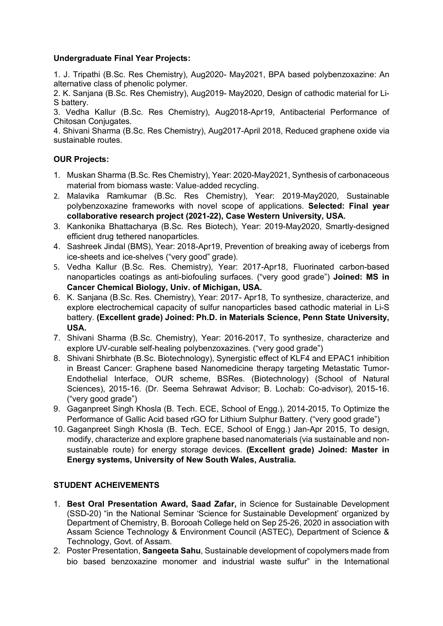# **Undergraduate Final Year Projects:**

1. J. Tripathi (B.Sc. Res Chemistry), Aug2020- May2021, BPA based polybenzoxazine: An alternative class of phenolic polymer.

2. K. Sanjana (B.Sc. Res Chemistry), Aug2019- May2020, Design of cathodic material for Li-S battery.

3. Vedha Kallur (B.Sc. Res Chemistry), Aug2018-Apr19, Antibacterial Performance of Chitosan Conjugates.

4. Shivani Sharma (B.Sc. Res Chemistry), Aug2017-April 2018, Reduced graphene oxide via sustainable routes.

# **OUR Projects:**

- 1. Muskan Sharma (B.Sc. Res Chemistry), Year: 2020-May2021, Synthesis of carbonaceous material from biomass waste: Value‐added recycling.
- 2. Malavika Ramkumar (B.Sc. Res Chemistry), Year: 2019-May2020, Sustainable polybenzoxazine frameworks with novel scope of applications. **Selected: Final year collaborative research project (2021-22), Case Western University, USA.**
- 3. Kankonika Bhattacharya (B.Sc. Res Biotech), Year: 2019-May2020, Smartly-designed efficient drug tethered nanoparticles.
- 4. Sashreek Jindal (BMS), Year: 2018-Apr19, Prevention of breaking away of icebergs from ice-sheets and ice-shelves ("very good" grade).
- 5. Vedha Kallur (B.Sc. Res. Chemistry), Year: 2017-Apr18, Fluorinated carbon-based nanoparticles coatings as anti-biofouling surfaces. ("very good grade") **Joined: MS in Cancer Chemical Biology, Univ. of Michigan, USA.**
- 6. K. Sanjana (B.Sc. Res. Chemistry), Year: 2017- Apr18, To synthesize, characterize, and explore electrochemical capacity of sulfur nanoparticles based cathodic material in Li-S battery. **(Excellent grade) Joined: Ph.D. in Materials Science, Penn State University, USA.**
- 7. Shivani Sharma (B.Sc. Chemistry), Year: 2016-2017, To synthesize, characterize and explore UV-curable self-healing polybenzoxazines. ("very good grade")
- 8. Shivani Shirbhate (B.Sc. Biotechnology), Synergistic effect of KLF4 and EPAC1 inhibition in Breast Cancer: Graphene based Nanomedicine therapy targeting Metastatic Tumor-Endothelial Interface, OUR scheme, BSRes. (Biotechnology) (School of Natural Sciences), 2015-16. (Dr. Seema Sehrawat Advisor; B. Lochab: Co-advisor), 2015-16. ("very good grade")
- 9. Gaganpreet Singh Khosla (B. Tech. ECE, School of Engg.), 2014-2015, To Optimize the Performance of Gallic Acid based rGO for Lithium Sulphur Battery. ("very good grade")
- 10. Gaganpreet Singh Khosla (B. Tech. ECE, School of Engg.) Jan-Apr 2015, To design, modify, characterize and explore graphene based nanomaterials (via sustainable and nonsustainable route) for energy storage devices. **(Excellent grade) Joined: Master in Energy systems, University of New South Wales, Australia.**

# **STUDENT ACHEIVEMENTS**

- 1. **Best Oral Presentation Award, Saad Zafar,** in Science for Sustainable Development (SSD-20) "in the National Seminar 'Science for Sustainable Development' organized by Department of Chemistry, B. Borooah College held on Sep 25-26, 2020 in association with Assam Science Technology & Environment Council (ASTEC), Department of Science & Technology, Govt. of Assam.
- 2. Poster Presentation, **Sangeeta Sahu**, Sustainable development of copolymers made from bio based benzoxazine monomer and industrial waste sulfur" in the International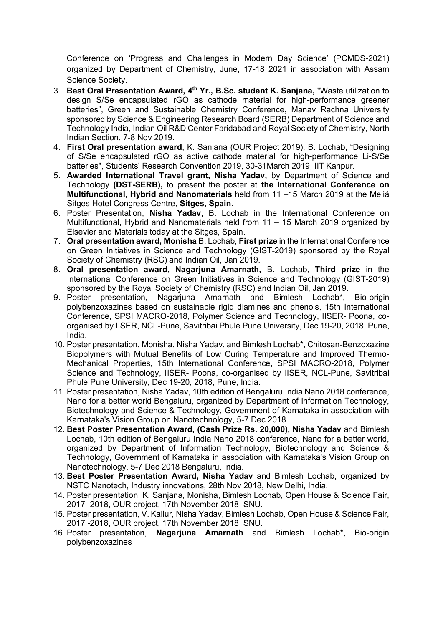Conference on 'Progress and Challenges in Modern Day Science' (PCMDS-2021) organized by Department of Chemistry, June, 17-18 2021 in association with Assam Science Society.

- 3. **Best Oral Presentation Award, 4th Yr., B.Sc. student K. Sanjana,** "Waste utilization to design S/Se encapsulated rGO as cathode material for high-performance greener batteries", Green and Sustainable Chemistry Conference, Manav Rachna University sponsored by Science & Engineering Research Board (SERB) Department of Science and Technology India, Indian Oil R&D Center Faridabad and Royal Society of Chemistry, North Indian Section, 7-8 Nov 2019.
- 4. **First Oral presentation award**, K. Sanjana (OUR Project 2019), B. Lochab, "Designing of S/Se encapsulated rGO as active cathode material for high-performance Li-S/Se batteries", Students' Research Convention 2019, 30-31March 2019, IIT Kanpur.
- 5. **Awarded International Travel grant, Nisha Yadav,** by Department of Science and Technology **(DST-SERB),** to present the poster at **the International Conference on Multifunctional, Hybrid and Nanomaterials** held from 11 –15 March 2019 at the Meliá Sitges Hotel Congress Centre, **Sitges, Spain**.
- 6. Poster Presentation, **Nisha Yadav,** B. Lochab in the International Conference on Multifunctional, Hybrid and Nanomaterials held from 11 – 15 March 2019 organized by Elsevier and Materials today at the Sitges, Spain.
- 7. **Oral presentation award, Monisha** B. Lochab, **First prize** in the International Conference on Green Initiatives in Science and Technology (GIST-2019) sponsored by the Royal Society of Chemistry (RSC) and Indian Oil, Jan 2019.
- 8. **Oral presentation award, Nagarjuna Amarnath,** B. Lochab, **Third prize** in the International Conference on Green Initiatives in Science and Technology (GIST-2019) sponsored by the Royal Society of Chemistry (RSC) and Indian Oil, Jan 2019.
- 9. Poster presentation, Nagarjuna Amarnath and Bimlesh Lochab\*, Bio-origin polybenzoxazines based on sustainable rigid diamines and phenols, 15th International Conference, SPSI MACRO-2018, Polymer Science and Technology, IISER- Poona, coorganised by IISER, NCL-Pune, Savitribai Phule Pune University, Dec 19-20, 2018, Pune, India.
- 10. Poster presentation, Monisha, Nisha Yadav, and Bimlesh Lochab\*, Chitosan-Benzoxazine Biopolymers with Mutual Benefits of Low Curing Temperature and Improved Thermo-Mechanical Properties, 15th International Conference, SPSI MACRO-2018, Polymer Science and Technology, IISER- Poona, co-organised by IISER, NCL-Pune, Savitribai Phule Pune University, Dec 19-20, 2018, Pune, India.
- 11. Poster presentation, Nisha Yadav, 10th edition of Bengaluru India Nano 2018 conference, Nano for a better world Bengaluru, organized by Department of Information Technology, Biotechnology and Science & Technology, Government of Karnataka in association with Karnataka's Vision Group on Nanotechnology, 5-7 Dec 2018.
- 12. **Best Poster Presentation Award, (Cash Prize Rs. 20,000), Nisha Yadav** and Bimlesh Lochab, 10th edition of Bengaluru India Nano 2018 conference, Nano for a better world, organized by Department of Information Technology, Biotechnology and Science & Technology, Government of Karnataka in association with Karnataka's Vision Group on Nanotechnology, 5-7 Dec 2018 Bengaluru, India.
- 13. **Best Poster Presentation Award, Nisha Yadav** and Bimlesh Lochab, organized by NSTC Nanotech, Industry innovations, 28th Nov 2018, New Delhi, India.
- 14. Poster presentation, K. Sanjana, Monisha, Bimlesh Lochab, Open House & Science Fair, 2017 -2018, OUR project, 17th November 2018, SNU.
- 15. Poster presentation, V. Kallur, Nisha Yadav, Bimlesh Lochab, Open House & Science Fair, 2017 -2018, OUR project, 17th November 2018, SNU.
- 16. Poster presentation, **Nagarjuna Amarnath** and Bimlesh Lochab\*, Bio-origin polybenzoxazines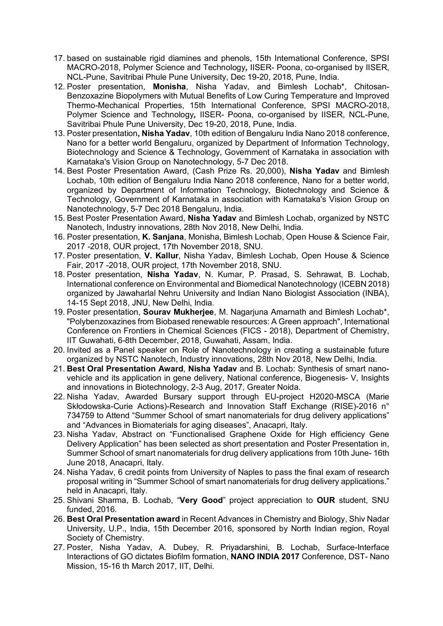- 17. based on sustainable rigid diamines and phenols, 15th International Conference, SPSI MACRO-2018, Polymer Science and Technology*,* IISER- Poona, co-organised by IISER, NCL-Pune, Savitribai Phule Pune University, Dec 19-20, 2018, Pune, India.
- 12. Poster presentation, **Monisha**, Nisha Yadav, and Bimlesh Lochab\*, Chitosan-Benzoxazine Biopolymers with Mutual Benefits of Low Curing Temperature and Improved Thermo-Mechanical Properties, 15th International Conference, SPSI MACRO-2018, Polymer Science and Technology*,* IISER- Poona, co-organised by IISER, NCL-Pune, Savitribai Phule Pune University, Dec 19-20, 2018, Pune, India.
- 13. Poster presentation**, Nisha Yadav**, 10th edition of Bengaluru India Nano 2018 conference, Nano for a better world Bengaluru, organized by Department of Information Technology, Biotechnology and Science & Technology, Government of Karnataka in association with Karnataka's Vision Group on Nanotechnology, 5-7 Dec 2018.
- 14. Best Poster Presentation Award, (Cash Prize Rs. 20,000), **Nisha Yadav** and Bimlesh Lochab, 10th edition of Bengaluru India Nano 2018 conference, Nano for a better world, organized by Department of Information Technology, Biotechnology and Science & Technology, Government of Karnataka in association with Karnataka's Vision Group on Nanotechnology, 5-7 Dec 2018 Bengaluru, India.
- 15. Best Poster Presentation Award, **Nisha Yadav** and Bimlesh Lochab, organized by NSTC Nanotech, Industry innovations, 28th Nov 2018, New Delhi, India.
- 16. Poster presentation, **K. Sanjana**, Monisha, Bimlesh Lochab, Open House & Science Fair, 2017 -2018, OUR project, 17th November 2018, SNU.
- 17. Poster presentation, **V. Kallur**, Nisha Yadav, Bimlesh Lochab, Open House & Science Fair, 2017 -2018, OUR project, 17th November 2018, SNU.
- 18. Poster presentation, **Nisha Yadav**, N. Kumar, P. Prasad, S. Sehrawat, B. Lochab, International conference on Environmental and Biomedical Nanotechnology (ICEBN 2018) organized by Jawaharlal Nehru University and Indian Nano Biologist Association (INBA), 14-15 Sept 2018, JNU, New Delhi, India.
- 19. Poster presentation, **Sourav Mukherjee**, M. Nagarjuna Amarnath and Bimlesh Lochab\*, "Polybenzoxazines from Biobased renewable resources: A Green approach", International Conference on Frontiers in Chemical Sciences (FICS - 2018), Department of Chemistry, IIT Guwahati, 6-8th December, 2018, Guwahati, Assam, India.
- 20. Invited as a Panel speaker on Role of Nanotechnology in creating a sustainable future organized by NSTC Nanotech, Industry innovations, 28th Nov 2018, New Delhi, India.
- 21. **Best Oral Presentation Award**, **Nisha Yadav** and B. Lochab: Synthesis of smart nanovehicle and its application in gene delivery, National conference, Biogenesis- V, Insights and innovations in Biotechnology, 2-3 Aug, 2017, Greater Noida.
- 22. Nisha Yadav, Awarded Bursary support through EU-project H2020-MSCA (Marie Skłodowska-Curie Actions)-Research and Innovation Staff Exchange (RISE)-2016 n° 734759 to Attend "Summer School of smart nanomaterials for drug delivery applications" and "Advances in Biomaterials for aging diseases", Anacapri, Italy.
- 23. Nisha Yadav, Abstract on "Functionalised Graphene Oxide for High efficiency Gene Delivery Application" has been selected as short presentation and Poster Presentation in, Summer School of smart nanomaterials for drug delivery applications from 10th June- 16th June 2018, Anacapri, Italy.
- 24. Nisha Yadav, 6 credit points from University of Naples to pass the final exam of research proposal writing in "Summer School of smart nanomaterials for drug delivery applications." held in Anacapri, Italy.
- 25. Shivani Sharma, B. Lochab, "**Very Good**" project appreciation to **OUR** student, SNU funded, 2016.
- 26. **Best Oral Presentation award** in Recent Advances in Chemistry and Biology, Shiv Nadar University, U.P., India, 15th December 2016, sponsored by North Indian region, Royal Society of Chemistry.
- 27. Poster, Nisha Yadav, A. Dubey, R. Priyadarshini, B. Lochab, Surface-Interface Interactions of GO dictates Biofilm formation, **NANO INDIA 2017** Conference, DST- Nano Mission, 15-16 th March 2017, IIT, Delhi.